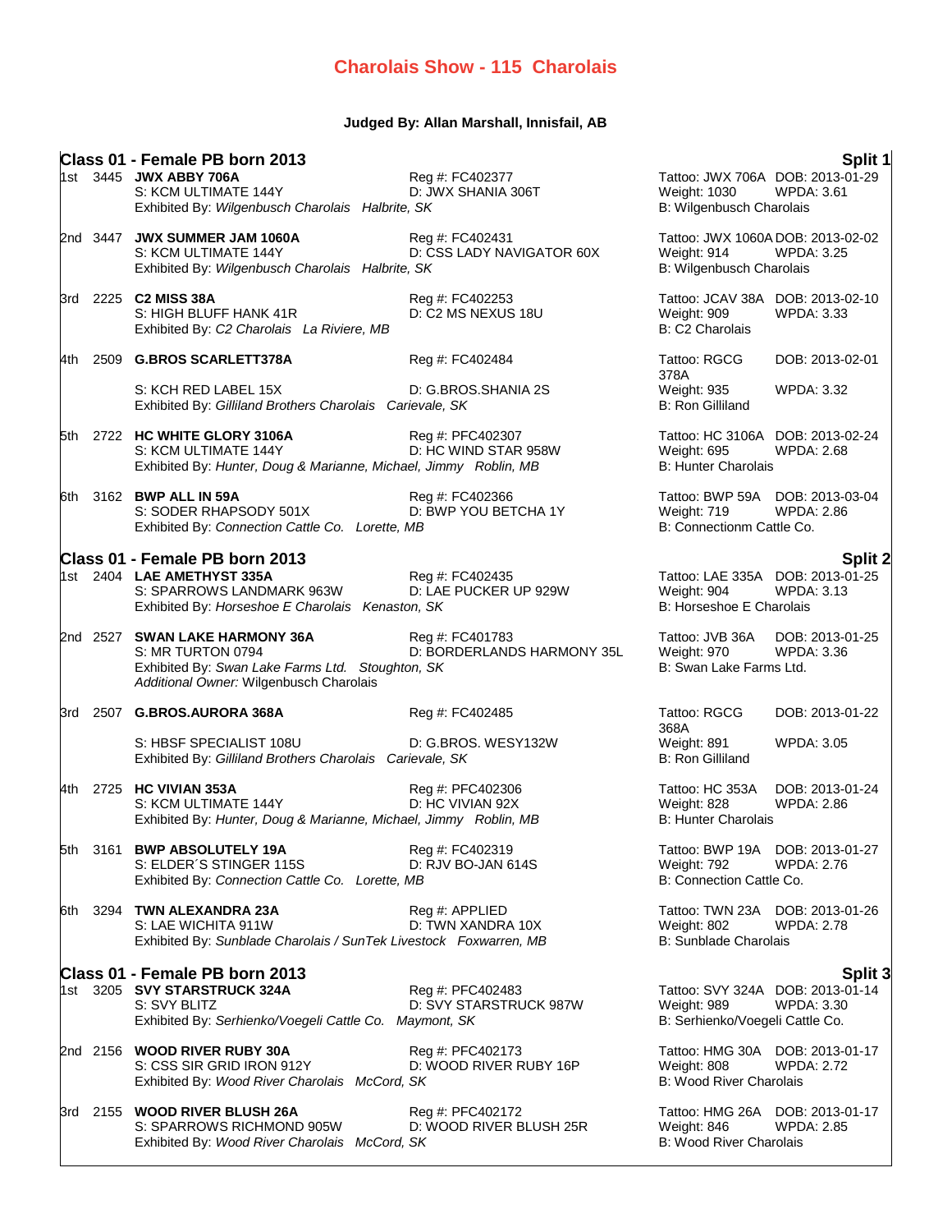## **Judged By: Allan Marshall, Innisfail, AB**

|        | Class 01 - Female PB born 2013<br>1st 3445 JWX ABBY 706A<br>S: KCM ULTIMATE 144Y<br>Exhibited By: Wilgenbusch Charolais Halbrite, SK               | Reg #: FC402377<br>D: JWX SHANIA 306T         | Weight: 1030<br>B: Wilgenbusch Charolais                         | Split 1<br>Tattoo: JWX 706A DOB: 2013-01-29<br><b>WPDA: 3.61</b>        |
|--------|----------------------------------------------------------------------------------------------------------------------------------------------------|-----------------------------------------------|------------------------------------------------------------------|-------------------------------------------------------------------------|
|        | 2nd 3447 JWX SUMMER JAM 1060A<br>S: KCM ULTIMATE 144Y<br>Exhibited By: Wilgenbusch Charolais Halbrite, SK                                          | Reg #: FC402431<br>D: CSS LADY NAVIGATOR 60X  | Weight: 914<br>B: Wilgenbusch Charolais                          | Tattoo: JWX 1060A DOB: 2013-02-02<br>WPDA: 3.25                         |
|        | 3rd 2225 C2 MISS 38A<br>S: HIGH BLUFF HANK 41R<br>Exhibited By: C2 Charolais La Riviere, MB                                                        | Reg #: FC402253<br>D: C2 MS NEXUS 18U         | Weight: 909<br>B: C2 Charolais                                   | Tattoo: JCAV 38A DOB: 2013-02-10<br><b>WPDA: 3.33</b>                   |
|        | 4th 2509 G.BROS SCARLETT378A                                                                                                                       | Reg #: FC402484                               | Tattoo: RGCG                                                     | DOB: 2013-02-01                                                         |
|        | S: KCH RED LABEL 15X<br>Exhibited By: Gilliland Brothers Charolais Carievale, SK                                                                   | D: G.BROS.SHANIA 2S                           | 378A<br>Weight: 935<br><b>B: Ron Gilliland</b>                   | <b>WPDA: 3.32</b>                                                       |
|        | 5th 2722 HC WHITE GLORY 3106A<br>S: KCM ULTIMATE 144Y<br>Exhibited By: Hunter, Doug & Marianne, Michael, Jimmy Roblin, MB                          | Reg #: PFC402307<br>D: HC WIND STAR 958W      | <b>Weight: 695</b><br><b>B: Hunter Charolais</b>                 | Tattoo: HC 3106A DOB: 2013-02-24<br><b>WPDA: 2.68</b>                   |
| l6th ∶ | 3162 BWP ALL IN 59A<br>S: SODER RHAPSODY 501X<br>Exhibited By: Connection Cattle Co. Lorette, MB                                                   | Reg #: FC402366<br>D: BWP YOU BETCHA 1Y       | Weight: 719<br>B: Connectionm Cattle Co.                         | Tattoo: BWP 59A DOB: 2013-03-04<br><b>WPDA: 2.86</b>                    |
|        | Class 01 - Female PB born 2013                                                                                                                     |                                               |                                                                  |                                                                         |
|        | 1st 2404 LAE AMETHYST 335A<br>S: SPARROWS LANDMARK 963W<br>Exhibited By: Horseshoe E Charolais Kenaston, SK                                        | Rea #: FC402435<br>D: LAE PUCKER UP 929W      | Weight: 904<br>B: Horseshoe E Charolais                          | <b>Split 2</b><br>Tattoo: LAE 335A DOB: 2013-01-25<br><b>WPDA: 3.13</b> |
|        | 2nd 2527 SWAN LAKE HARMONY 36A<br>S: MR TURTON 0794<br>Exhibited By: Swan Lake Farms Ltd. Stoughton, SK<br>Additional Owner: Wilgenbusch Charolais | Reg #: FC401783<br>D: BORDERLANDS HARMONY 35L | Tattoo: JVB 36A<br>Weight: 970<br>B: Swan Lake Farms Ltd.        | DOB: 2013-01-25<br><b>WPDA: 3.36</b>                                    |
|        | 3rd 2507 G.BROS.AURORA 368A                                                                                                                        | Reg #: FC402485                               | Tattoo: RGCG<br>368A                                             | DOB: 2013-01-22                                                         |
|        | S: HBSF SPECIALIST 108U<br>Exhibited By: Gilliland Brothers Charolais Carievale, SK                                                                | D: G.BROS. WESY132W                           | Weight: 891<br><b>B: Ron Gilliland</b>                           | <b>WPDA: 3.05</b>                                                       |
|        | 4th 2725 HC VIVIAN 353A<br>S: KCM ULTIMATE 144Y<br>Exhibited By: Hunter, Doug & Marianne, Michael, Jimmy Roblin, MB                                | Reg #: PFC402306<br>D: HC VIVIAN 92X          | Tattoo: HC 353A<br>Weight: 828<br><b>B: Hunter Charolais</b>     | DOB: 2013-01-24<br><b>WPDA: 2.86</b>                                    |
|        | 5th 3161 BWP ABSOLUTELY 19A<br>S: ELDER'S STINGER 115S<br>Exhibited By: Connection Cattle Co. Lorette, MB                                          | Reg #: FC402319<br>D: RJV BO-JAN 614S         | Weight: 792<br>B: Connection Cattle Co.                          | Tattoo: BWP 19A DOB: 2013-01-27<br><b>WPDA: 2.76</b>                    |
|        | 6th 3294 TWN ALEXANDRA 23A<br>S: LAE WICHITA 911W<br>Exhibited By: Sunblade Charolais / SunTek Livestock Foxwarren, MB                             | Reg #: APPLIED<br>D: TWN XANDRA 10X           | Weight: 802<br>B: Sunblade Charolais                             | Tattoo: TWN 23A DOB: 2013-01-26<br><b>WPDA: 2.78</b>                    |
|        | Class 01 - Female PB born 2013                                                                                                                     |                                               |                                                                  | Split 3                                                                 |
|        | 1st 3205 SVY STARSTRUCK 324A<br>S: SVY BLITZ<br>Exhibited By: Serhienko/Voegeli Cattle Co. Maymont, SK                                             | Reg #: PFC402483<br>D: SVY STARSTRUCK 987W    | Weight: 989<br>B: Serhienko/Voegeli Cattle Co.                   | Tattoo: SVY 324A DOB: 2013-01-14<br>WPDA: 3.30                          |
|        | 2nd 2156 WOOD RIVER RUBY 30A<br>S: CSS SIR GRID IRON 912Y<br>Exhibited By: Wood River Charolais McCord, SK                                         | Reg #: PFC402173<br>D: WOOD RIVER RUBY 16P    | Tattoo: HMG 30A<br>Weight: 808<br><b>B: Wood River Charolais</b> | DOB: 2013-01-17<br><b>WPDA: 2.72</b>                                    |
|        | 3rd 2155 WOOD RIVER BLUSH 26A<br>S: SPARROWS RICHMOND 905W<br>Exhibited By: Wood River Charolais McCord, SK                                        | Reg #: PFC402172<br>D: WOOD RIVER BLUSH 25R   | Weight: 846<br><b>B: Wood River Charolais</b>                    | Tattoo: HMG 26A DOB: 2013-01-17<br>WPDA: 2.85                           |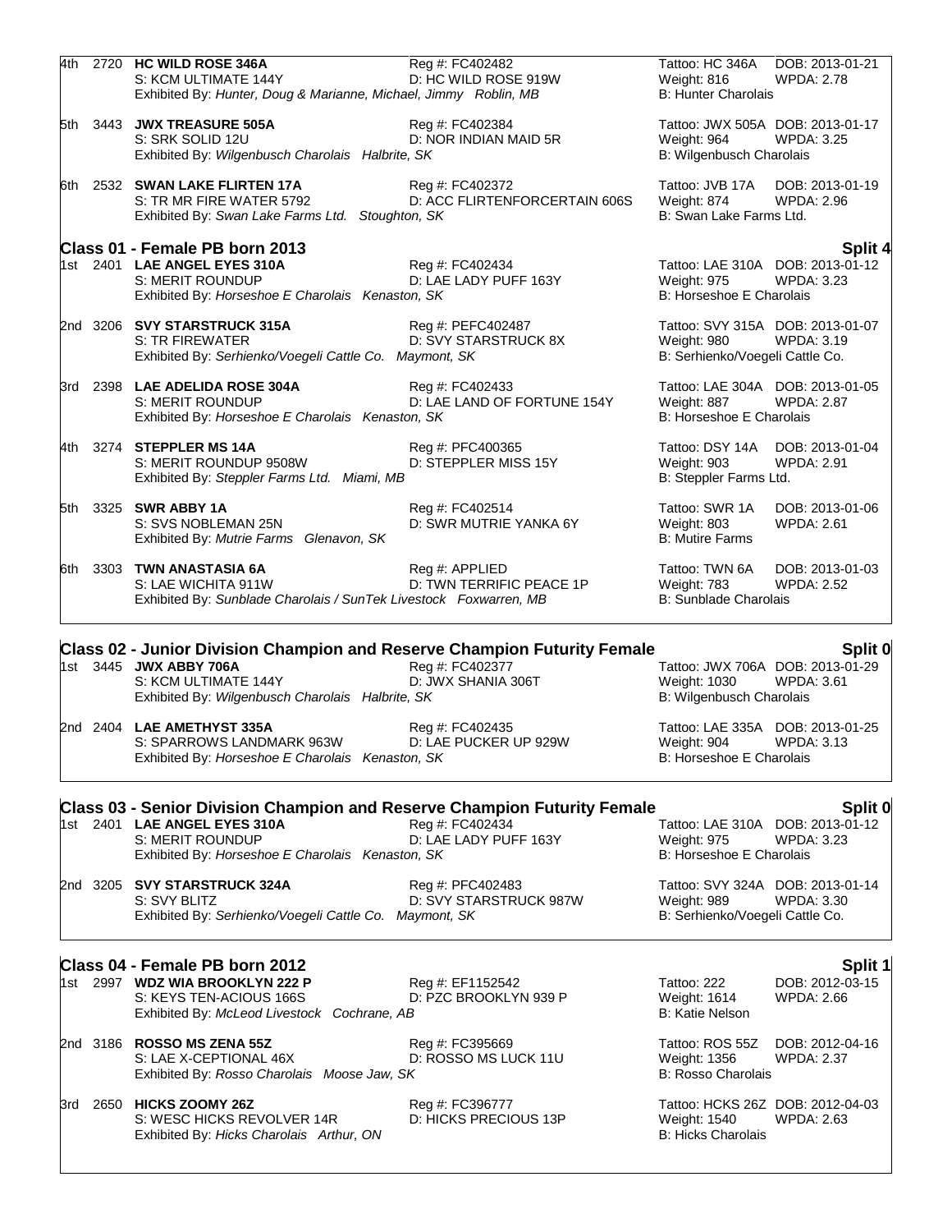|  | 4th 2720 HC WILD ROSE 346A<br>S: KCM ULTIMATE 144Y<br>Exhibited By: Hunter, Doug & Marianne, Michael, Jimmy Roblin, MB | Reg #: FC402482<br>D: HC WILD ROSE 919W          | Tattoo: HC 346A<br>Weight: 816<br><b>B: Hunter Charolais</b>                        | DOB: 2013-01-21<br><b>WPDA: 2.78</b>                  |
|--|------------------------------------------------------------------------------------------------------------------------|--------------------------------------------------|-------------------------------------------------------------------------------------|-------------------------------------------------------|
|  | 5th 3443 JWX TREASURE 505A<br>S: SRK SOLID 12U<br>Exhibited By: Wilgenbusch Charolais Halbrite, SK                     | Reg #: FC402384<br>D: NOR INDIAN MAID 5R         | Tattoo: JWX 505A DOB: 2013-01-17<br>Weight: 964<br>B: Wilgenbusch Charolais         | <b>WPDA: 3.25</b>                                     |
|  | 6th 2532 SWAN LAKE FLIRTEN 17A<br>S: TR MR FIRE WATER 5792<br>Exhibited By: Swan Lake Farms Ltd. Stoughton, SK         | Reg #: FC402372<br>D: ACC FLIRTENFORCERTAIN 606S | Tattoo: JVB 17A<br>Weight: 874<br>B: Swan Lake Farms Ltd.                           | DOB: 2013-01-19<br><b>WPDA: 2.96</b>                  |
|  | Class 01 - Female PB born 2013                                                                                         |                                                  |                                                                                     | Split 4                                               |
|  | 1st 2401 LAE ANGEL EYES 310A<br>S: MERIT ROUNDUP<br>Exhibited By: Horseshoe E Charolais Kenaston, SK                   | Reg #: FC402434<br>D: LAE LADY PUFF 163Y         | Tattoo: LAE 310A DOB: 2013-01-12<br>Weight: 975<br>B: Horseshoe E Charolais         | <b>WPDA: 3.23</b>                                     |
|  | 2nd 3206 SVY STARSTRUCK 315A<br>S: TR FIREWATER<br>Exhibited By: Serhienko/Voegeli Cattle Co. Maymont, SK              | Reg #: PEFC402487<br>D: SVY STARSTRUCK 8X        | Tattoo: SVY 315A DOB: 2013-01-07<br>Weight: 980<br>B: Serhienko/Voegeli Cattle Co.  | WPDA: 3.19                                            |
|  | 3rd 2398 LAE ADELIDA ROSE 304A<br>S: MERIT ROUNDUP<br>Exhibited By: Horseshoe E Charolais Kenaston, SK                 | Reg #: FC402433<br>D: LAE LAND OF FORTUNE 154Y   | Tattoo: LAE 304A DOB: 2013-01-05<br>Weight: 887<br>B: Horseshoe E Charolais         | <b>WPDA: 2.87</b>                                     |
|  | 4th 3274 STEPPLER MS 14A<br>S: MERIT ROUNDUP 9508W<br>Exhibited By: Steppler Farms Ltd. Miami, MB                      | Reg #: PFC400365<br>D: STEPPLER MISS 15Y         | Tattoo: DSY 14A DOB: 2013-01-04<br>Weight: 903<br>B: Steppler Farms Ltd.            | WPDA: 2.91                                            |
|  | 5th 3325 SWR ABBY 1A<br>S: SVS NOBLEMAN 25N<br>Exhibited By: Mutrie Farms Glenavon, SK                                 | Reg #: FC402514<br>D: SWR MUTRIE YANKA 6Y        | Tattoo: SWR 1A<br>Weight: 803<br><b>B: Mutire Farms</b>                             | DOB: 2013-01-06<br><b>WPDA: 2.61</b>                  |
|  | 6th 3303 TWN ANASTASIA 6A<br>S: LAE WICHITA 911W<br>Exhibited By: Sunblade Charolais / SunTek Livestock Foxwarren, MB  | Reg #: APPLIED<br>D: TWN TERRIFIC PEACE 1P       | Tattoo: TWN 6A<br>Weight: 783<br><b>B: Sunblade Charolais</b>                       | DOB: 2013-01-03<br><b>WPDA: 2.52</b>                  |
|  | <b>Class 02 - Junior Division Champion and Reserve Champion Futurity Female</b>                                        |                                                  |                                                                                     | Split 0                                               |
|  | 1st 3445 JWX ABBY 706A<br>S: KCM ULTIMATE 144Y<br>Exhibited By: Wilgenbusch Charolais Halbrite, SK                     | Reg #: FC402377<br>D: JWX SHANIA 306T            | Tattoo: JWX 706A DOB: 2013-01-29<br><b>Weight: 1030</b><br>B: Wilgenbusch Charolais | <b>WPDA: 3.61</b>                                     |
|  | 2nd 2404 LAE AMETHYST 335A<br>S: SPARROWS LANDMARK 963W<br>Exhibited By: Horseshoe E Charolais Kenaston, SK            | Reg #: FC402435<br>D: LAE PUCKER UP 929W         | Tattoo: LAE 335A DOB: 2013-01-25<br>Weight: 904<br>B: Horseshoe E Charolais         | WPDA: 3.13                                            |
|  | <b>Class 03 - Senior Division Champion and Reserve Champion Futurity Female</b>                                        |                                                  |                                                                                     | Split 0                                               |
|  | 1st 2401 LAE ANGEL EYES 310A<br><b>S: MERIT ROUNDUP</b><br>Exhibited By: Horseshoe E Charolais Kenaston, SK            | Reg #: FC402434<br>D: LAE LADY PUFF 163Y         | <b>Weight: 975</b><br>B: Horseshoe E Charolais                                      | Tattoo: LAE 310A DOB: 2013-01-12<br><b>WPDA: 3.23</b> |
|  | 2nd 3205 SVY STARSTRUCK 324A<br>S: SVY BLITZ<br>Exhibited By: Serhienko/Voegeli Cattle Co. Maymont, SK                 | Reg #: PFC402483<br>D: SVY STARSTRUCK 987W       | Tattoo: SVY 324A DOB: 2013-01-14<br>Weight: 989<br>B: Serhienko/Voegeli Cattle Co.  | WPDA: 3.30                                            |
|  | Class 04 - Female PB born 2012                                                                                         |                                                  |                                                                                     | Split 1                                               |
|  | 1st 2997 WDZ WIA BROOKLYN 222 P<br>S: KEYS TEN-ACIOUS 166S<br>Exhibited By: McLeod Livestock Cochrane, AB              | Reg #: EF1152542<br>D: PZC BROOKLYN 939 P        | Tattoo: 222<br>Weight: 1614<br><b>B: Katie Nelson</b>                               | DOB: 2012-03-15<br><b>WPDA: 2.66</b>                  |
|  | 2nd 3186 ROSSO MS ZENA 55Z<br>S: LAE X-CEPTIONAL 46X<br>Exhibited By: Rosso Charolais Moose Jaw, SK                    | Reg #: FC395669<br>D: ROSSO MS LUCK 11U          | Tattoo: ROS 55Z<br>Weight: 1356<br><b>B: Rosso Charolais</b>                        | DOB: 2012-04-16<br><b>WPDA: 2.37</b>                  |
|  | 3rd 2650 HICKS ZOOMY 26Z<br>S: WESC HICKS REVOLVER 14R<br>Exhibited By: Hicks Charolais Arthur, ON                     | Reg #: FC396777<br>D: HICKS PRECIOUS 13P         | Tattoo: HCKS 26Z DOB: 2012-04-03<br>Weight: 1540<br><b>B: Hicks Charolais</b>       | WPDA: 2.63                                            |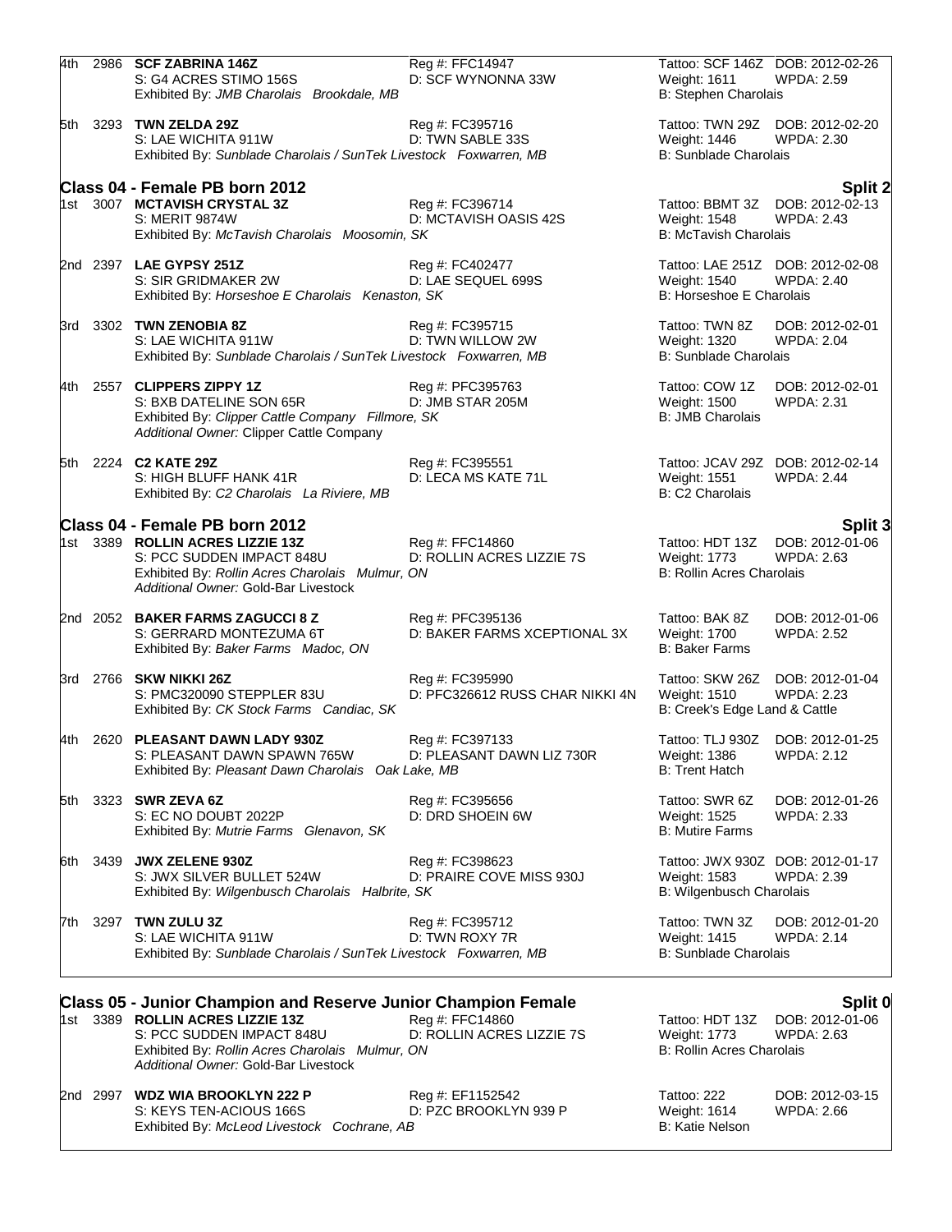| 4th |          | 2986 SCF ZABRINA 146Z<br>S: G4 ACRES STIMO 156S<br>Exhibited By: JMB Charolais Brookdale, MB                                                                                                                                     | Reg #: FFC14947<br>D: SCF WYNONNA 33W              | Weight: 1611<br>B: Stephen Charolais                                       | Tattoo: SCF 146Z DOB: 2012-02-26<br><b>WPDA: 2.59</b>           |
|-----|----------|----------------------------------------------------------------------------------------------------------------------------------------------------------------------------------------------------------------------------------|----------------------------------------------------|----------------------------------------------------------------------------|-----------------------------------------------------------------|
|     |          | 5th 3293 TWN ZELDA 29Z<br>S: LAE WICHITA 911W<br>Exhibited By: Sunblade Charolais / SunTek Livestock Foxwarren, MB                                                                                                               | Reg #: FC395716<br>D: TWN SABLE 33S                | Weight: 1446<br><b>B: Sunblade Charolais</b>                               | Tattoo: TWN 29Z DOB: 2012-02-20<br>WPDA: 2.30                   |
|     |          | Class 04 - Female PB born 2012<br>1st 3007 MCTAVISH CRYSTAL 3Z<br><b>S: MERIT 9874W</b><br>Exhibited By: McTavish Charolais Moosomin, SK                                                                                         | Reg #: FC396714<br>D: MCTAVISH OASIS 42S           | Weight: 1548<br><b>B: McTavish Charolais</b>                               | Split 2<br>Tattoo: BBMT 3Z DOB: 2012-02-13<br><b>WPDA: 2.43</b> |
|     |          | 2nd 2397 LAE GYPSY 251Z<br>S: SIR GRIDMAKER 2W<br>Exhibited By: Horseshoe E Charolais Kenaston, SK                                                                                                                               | Reg #: FC402477<br>D: LAE SEQUEL 699S              | Weight: 1540<br>B: Horseshoe E Charolais                                   | Tattoo: LAE 251Z DOB: 2012-02-08<br><b>WPDA: 2.40</b>           |
|     |          | 3rd 3302 TWN ZENOBIA 8Z<br>S: LAE WICHITA 911W<br>Exhibited By: Sunblade Charolais / SunTek Livestock Foxwarren, MB                                                                                                              | Reg #: FC395715<br>D: TWN WILLOW 2W                | Tattoo: TWN 8Z<br>Weight: 1320<br><b>B: Sunblade Charolais</b>             | DOB: 2012-02-01<br><b>WPDA: 2.04</b>                            |
|     | 4th 2557 | <b>CLIPPERS ZIPPY 1Z</b><br>S: BXB DATELINE SON 65R<br>Exhibited By: Clipper Cattle Company Fillmore, SK<br>Additional Owner: Clipper Cattle Company                                                                             | Reg #: PFC395763<br>D: JMB STAR 205M               | Tattoo: COW 1Z<br><b>Weight: 1500</b><br><b>B: JMB Charolais</b>           | DOB: 2012-02-01<br><b>WPDA: 2.31</b>                            |
|     |          | 5th 2224 C2 KATE 29Z<br>S: HIGH BLUFF HANK 41R<br>Exhibited By: C2 Charolais La Riviere, MB                                                                                                                                      | Reg #: FC395551<br>D: LECA MS KATE 71L             | Weight: 1551<br>B: C2 Charolais                                            | Tattoo: JCAV 29Z DOB: 2012-02-14<br><b>WPDA: 2.44</b>           |
|     |          | Class 04 - Female PB born 2012<br>1st 3389 ROLLIN ACRES LIZZIE 13Z<br>S: PCC SUDDEN IMPACT 848U<br>Exhibited By: Rollin Acres Charolais Mulmur, ON<br>Additional Owner: Gold-Bar Livestock                                       | Reg #: FFC14860<br>D: ROLLIN ACRES LIZZIE 7S       | Tattoo: HDT 13Z<br>Weight: 1773<br><b>B: Rollin Acres Charolais</b>        | Split 3<br>DOB: 2012-01-06<br><b>WPDA: 2.63</b>                 |
|     |          | 2nd 2052 BAKER FARMS ZAGUCCI 8 Z<br>S: GERRARD MONTEZUMA 6T<br>Exhibited By: Baker Farms Madoc, ON                                                                                                                               | Reg #: PFC395136<br>D: BAKER FARMS XCEPTIONAL 3X   | Tattoo: BAK 8Z<br>Weight: 1700<br><b>B: Baker Farms</b>                    | DOB: 2012-01-06<br><b>WPDA: 2.52</b>                            |
|     |          | 3rd 2766 SKW NIKKI 26Z<br>S: PMC320090 STEPPLER 83U<br>Exhibited By: CK Stock Farms Candiac, SK                                                                                                                                  | Reg #: FC395990<br>D: PFC326612 RUSS CHAR NIKKI 4N | <b>Weight: 1510</b><br>B: Creek's Edge Land & Cattle                       | Tattoo: SKW 26Z DOB: 2012-01-04<br><b>WPDA: 2.23</b>            |
|     |          | 4th 2620 PLEASANT DAWN LADY 930Z<br>S: PLEASANT DAWN SPAWN 765W<br>Exhibited By: Pleasant Dawn Charolais Oak Lake, MB                                                                                                            | Reg #: FC397133<br>D: PLEASANT DAWN LIZ 730R       | Weight: 1386<br><b>B: Trent Hatch</b>                                      | Tattoo: TLJ 930Z DOB: 2012-01-25<br>WPDA: 2.12                  |
| 5th |          | 3323 SWR ZEVA 6Z<br>S: EC NO DOUBT 2022P<br>Exhibited By: Mutrie Farms Glenavon, SK                                                                                                                                              | Reg #: FC395656<br>D: DRD SHOEIN 6W                | Tattoo: SWR 6Z<br>Weight: 1525<br><b>B: Mutire Farms</b>                   | DOB: 2012-01-26<br><b>WPDA: 2.33</b>                            |
| 6th | 3439     | <b>JWX ZELENE 930Z</b><br>S: JWX SILVER BULLET 524W<br>Exhibited By: Wilgenbusch Charolais Halbrite, SK                                                                                                                          | Reg #: FC398623<br>D: PRAIRE COVE MISS 930J        | Weight: 1583<br><b>B: Wilgenbusch Charolais</b>                            | Tattoo: JWX 930Z DOB: 2012-01-17<br><b>WPDA: 2.39</b>           |
| 7th | 3297     | TWN ZULU 3Z<br>S: LAE WICHITA 911W<br>Exhibited By: Sunblade Charolais / SunTek Livestock Foxwarren, MB                                                                                                                          | Reg #: FC395712<br>D: TWN ROXY 7R                  | Tattoo: TWN 3Z<br>Weight: 1415<br><b>B: Sunblade Charolais</b>             | DOB: 2012-01-20<br><b>WPDA: 2.14</b>                            |
|     |          | <b>Class 05 - Junior Champion and Reserve Junior Champion Female</b><br>1st 3389 ROLLIN ACRES LIZZIE 13Z<br>S: PCC SUDDEN IMPACT 848U<br>Exhibited By: Rollin Acres Charolais Mulmur, ON<br>Additional Owner: Gold-Bar Livestock | Reg #: FFC14860<br>D: ROLLIN ACRES LIZZIE 7S       | Tattoo: HDT 13Z<br><b>Weight: 1773</b><br><b>B: Rollin Acres Charolais</b> | Split 0<br>DOB: 2012-01-06<br><b>WPDA: 2.63</b>                 |
|     | 2nd 2997 | <b>WDZ WIA BROOKLYN 222 P</b><br>S: KEYS TEN-ACIOUS 166S                                                                                                                                                                         | Reg #: EF1152542<br>D: PZC BROOKLYN 939 P          | Tattoo: 222<br>Weight: 1614                                                | DOB: 2012-03-15<br><b>WPDA: 2.66</b>                            |

Exhibited By: *McLeod Livestock Cochrane, AB* B: Katie Nelson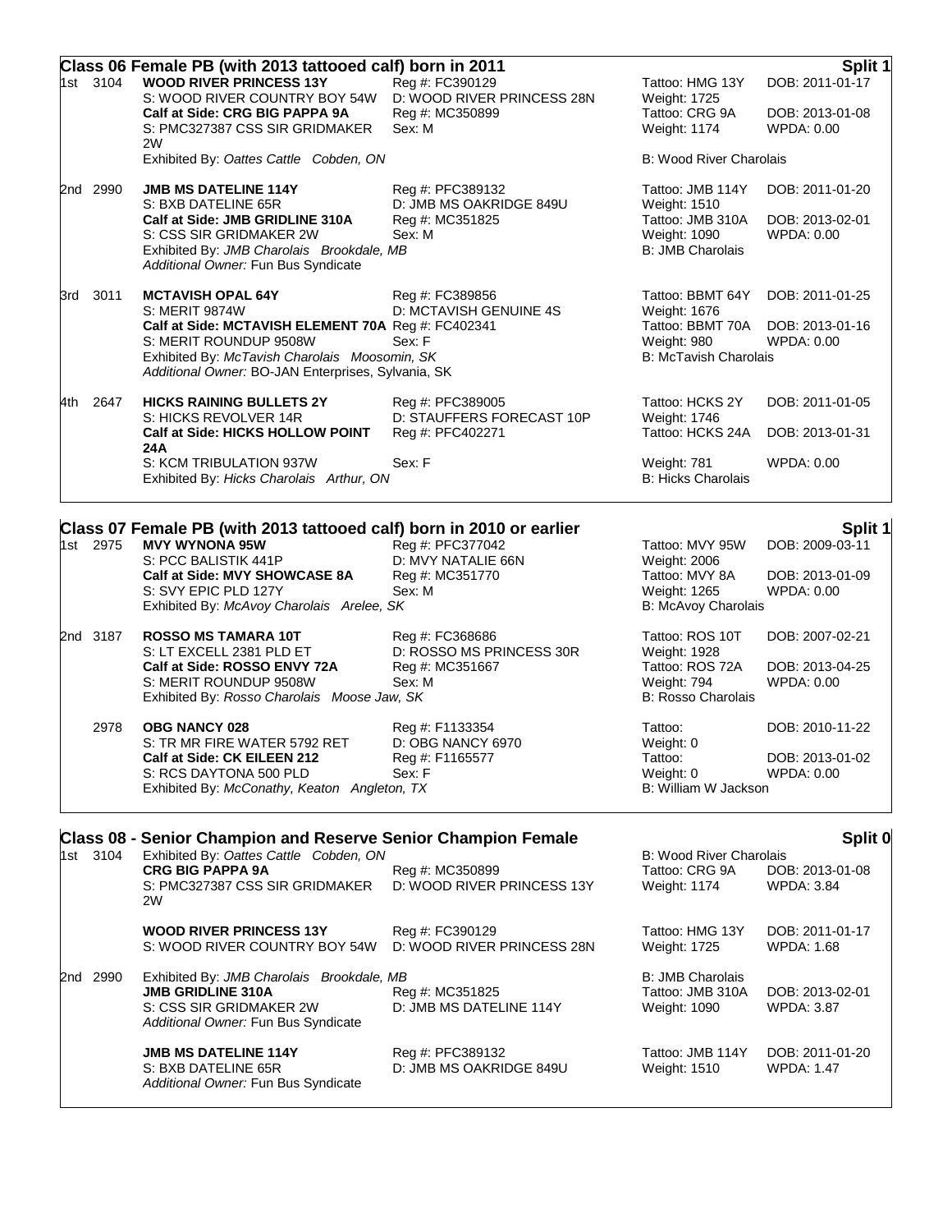|     |          | Class 06 Female PB (with 2013 tattooed calf) born in 2011                                                      |                                                                  |                                                   | Split 1                              |
|-----|----------|----------------------------------------------------------------------------------------------------------------|------------------------------------------------------------------|---------------------------------------------------|--------------------------------------|
|     | 1st 3104 | <b>WOOD RIVER PRINCESS 13Y</b><br>S: WOOD RIVER COUNTRY BOY 54W<br>Calf at Side: CRG BIG PAPPA 9A              | Reg #: FC390129<br>D: WOOD RIVER PRINCESS 28N<br>Reg #: MC350899 | Tattoo: HMG 13Y<br>Weight: 1725<br>Tattoo: CRG 9A | DOB: 2011-01-17<br>DOB: 2013-01-08   |
|     |          | S: PMC327387 CSS SIR GRIDMAKER<br>2W                                                                           | Sex: M                                                           | <b>Weight: 1174</b>                               | WPDA: 0.00                           |
|     |          | Exhibited By: Oattes Cattle Cobden, ON                                                                         |                                                                  | <b>B: Wood River Charolais</b>                    |                                      |
|     | 2nd 2990 | <b>JMB MS DATELINE 114Y</b><br>S: BXB DATELINE 65R                                                             | Reg #: PFC389132<br>D: JMB MS OAKRIDGE 849U                      | Tattoo: JMB 114Y<br>Weight: 1510                  | DOB: 2011-01-20                      |
|     |          | Calf at Side: JMB GRIDLINE 310A<br>S: CSS SIR GRIDMAKER 2W                                                     | Reg #: MC351825<br>Sex: M                                        | Tattoo: JMB 310A<br>Weight: 1090                  | DOB: 2013-02-01<br><b>WPDA: 0.00</b> |
|     |          | Exhibited By: JMB Charolais Brookdale, MB<br>Additional Owner: Fun Bus Syndicate                               |                                                                  | <b>B: JMB Charolais</b>                           |                                      |
|     | 3rd 3011 | <b>MCTAVISH OPAL 64Y</b><br>S: MERIT 9874W                                                                     | Reg #: FC389856<br>D: MCTAVISH GENUINE 4S                        | Tattoo: BBMT 64Y<br>Weight: 1676                  | DOB: 2011-01-25                      |
|     |          | Calf at Side: MCTAVISH ELEMENT 70A Reg #: FC402341                                                             |                                                                  | Tattoo: BBMT 70A                                  | DOB: 2013-01-16                      |
|     |          | S: MERIT ROUNDUP 9508W<br>Exhibited By: McTavish Charolais Moosomin, SK                                        | Sex: F                                                           | Weight: 980<br><b>B: McTavish Charolais</b>       | WPDA: 0.00                           |
|     |          | Additional Owner: BO-JAN Enterprises, Sylvania, SK                                                             |                                                                  |                                                   |                                      |
| 4th | 2647     | <b>HICKS RAINING BULLETS 2Y</b><br>S: HICKS REVOLVER 14R                                                       | Reg #: PFC389005<br>D: STAUFFERS FORECAST 10P                    | Tattoo: HCKS 2Y<br>Weight: 1746                   | DOB: 2011-01-05                      |
|     |          | Calf at Side: HICKS HOLLOW POINT<br>24A                                                                        | Reg #: PFC402271                                                 | Tattoo: HCKS 24A                                  | DOB: 2013-01-31                      |
|     |          | S: KCM TRIBULATION 937W<br>Exhibited By: Hicks Charolais Arthur, ON                                            | Sex: F                                                           | Weight: 781<br>B: Hicks Charolais                 | <b>WPDA: 0.00</b>                    |
|     |          | Class 07 Female PB (with 2013 tattooed calf) born in 2010 or earlier                                           |                                                                  |                                                   | Split 1                              |
|     | 1st 2975 | <b>MVY WYNONA 95W</b><br>S: PCC BALISTIK 441P                                                                  | Reg #: PFC377042<br>D: MVY NATALIE 66N                           | Tattoo: MVY 95W<br>Weight: 2006                   | DOB: 2009-03-11                      |
|     |          | Calf at Side: MVY SHOWCASE 8A<br>S: SVY EPIC PLD 127Y                                                          | Reg #: MC351770<br>Sex: M                                        | Tattoo: MVY 8A<br>Weight: 1265                    | DOB: 2013-01-09<br>WPDA: 0.00        |
|     |          | Exhibited By: McAvoy Charolais Arelee, SK                                                                      |                                                                  | B: McAvoy Charolais                               |                                      |
|     | 2nd 3187 | <b>ROSSO MS TAMARA 10T</b><br>S: LT EXCELL 2381 PLD ET                                                         | Reg #: FC368686<br>D: ROSSO MS PRINCESS 30R                      | Tattoo: ROS 10T<br>Weight: 1928                   | DOB: 2007-02-21                      |
|     |          | Calf at Side: ROSSO ENVY 72A                                                                                   | Reg #: MC351667                                                  | Tattoo: ROS 72A                                   | DOB: 2013-04-25                      |
|     |          | S: MERIT ROUNDUP 9508W<br>Exhibited By: Rosso Charolais Moose Jaw, SK                                          | Sex: M                                                           | Weight: 794<br><b>B: Rosso Charolais</b>          | WPDA: 0.00                           |
|     | 2978     | <b>OBG NANCY 028</b>                                                                                           | Reg #: F1133354                                                  | Tattoo:                                           | DOB: 2010-11-22                      |
|     |          | S: TR MR FIRE WATER 5792 RET<br>Calf at Side: CK EILEEN 212                                                    | D: OBG NANCY 6970<br>Reg #: F1165577                             | Weight: 0<br>Tattoo:                              | DOB: 2013-01-02                      |
|     |          | S: RCS DAYTONA 500 PLD<br>Exhibited By: McConathy, Keaton Angleton, TX                                         | Sex: F                                                           | Weight: 0<br><b>B: William W Jackson</b>          | WPDA: 0.00                           |
|     |          |                                                                                                                |                                                                  |                                                   |                                      |
|     | 1st 3104 | <b>Class 08 - Senior Champion and Reserve Senior Champion Female</b><br>Exhibited By: Oattes Cattle Cobden, ON |                                                                  | <b>B: Wood River Charolais</b>                    | Split 0                              |
|     |          | <b>CRG BIG PAPPA 9A</b>                                                                                        | Reg #: MC350899                                                  | Tattoo: CRG 9A                                    | DOB: 2013-01-08                      |
|     |          | S: PMC327387 CSS SIR GRIDMAKER<br>2W                                                                           | D: WOOD RIVER PRINCESS 13Y                                       | Weight: 1174                                      | <b>WPDA: 3.84</b>                    |
|     |          | <b>WOOD RIVER PRINCESS 13Y</b><br>S: WOOD RIVER COUNTRY BOY 54W                                                | Reg #: FC390129<br>D: WOOD RIVER PRINCESS 28N                    | Tattoo: HMG 13Y<br>Weight: 1725                   | DOB: 2011-01-17<br>WPDA: 1.68        |
|     |          |                                                                                                                |                                                                  |                                                   |                                      |
|     | 2nd 2990 | Exhibited By: JMB Charolais Brookdale, MB<br><b>JMB GRIDLINE 310A</b>                                          | Reg #: MC351825                                                  | <b>B: JMB Charolais</b><br>Tattoo: JMB 310A       | DOB: 2013-02-01                      |
|     |          | S: CSS SIR GRIDMAKER 2W<br>Additional Owner: Fun Bus Syndicate                                                 | D: JMB MS DATELINE 114Y                                          | Weight: 1090                                      | <b>WPDA: 3.87</b>                    |
|     |          | <b>JMB MS DATELINE 114Y</b>                                                                                    | Reg #: PFC389132                                                 | Tattoo: JMB 114Y                                  | DOB: 2011-01-20                      |
|     |          | S: BXB DATELINE 65R<br>Additional Owner: Fun Bus Syndicate                                                     | D: JMB MS OAKRIDGE 849U                                          | Weight: 1510                                      | <b>WPDA: 1.47</b>                    |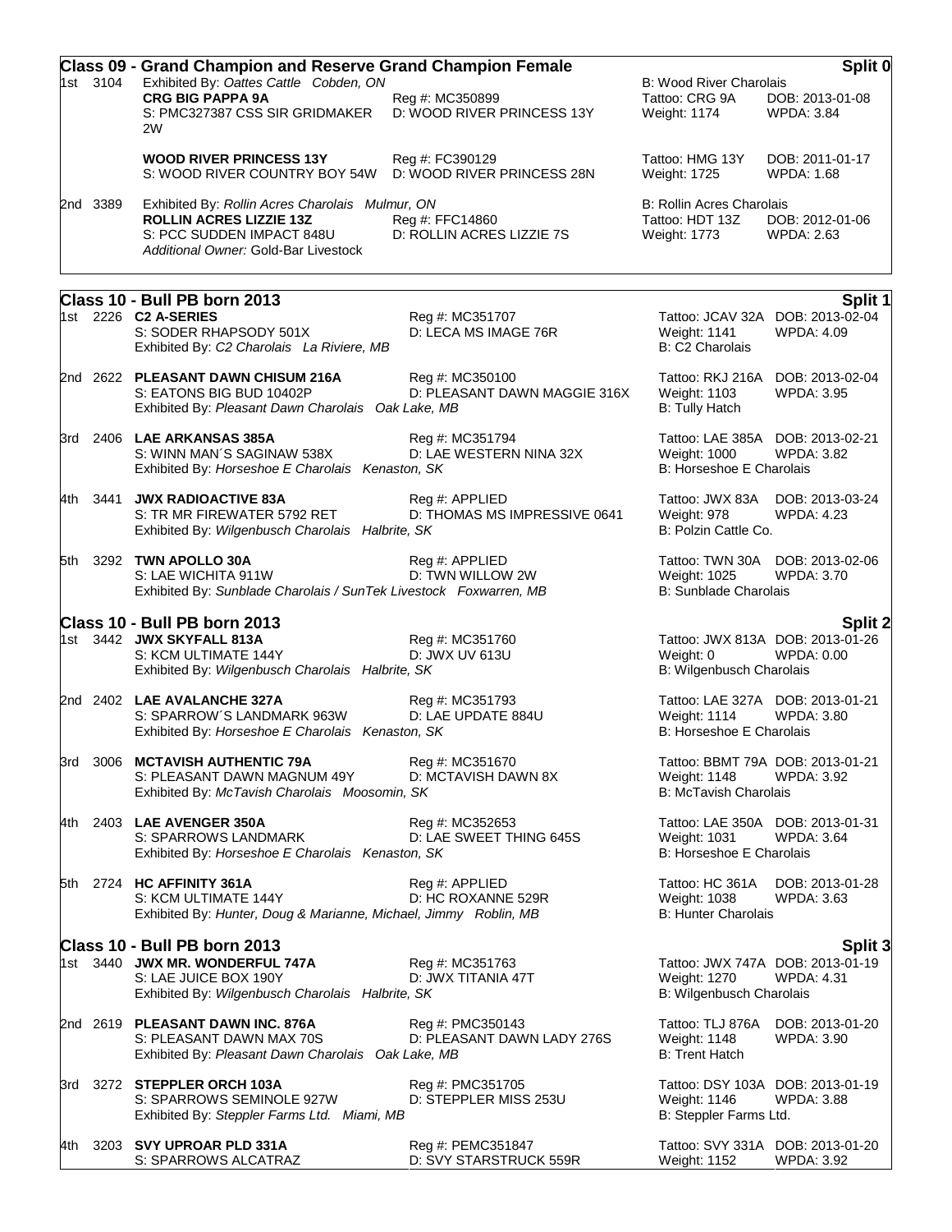|          |          | <b>Class 09 - Grand Champion and Reserve Grand Champion Female</b>                                                     |                                                 | Split 0                                                       |                                                       |  |
|----------|----------|------------------------------------------------------------------------------------------------------------------------|-------------------------------------------------|---------------------------------------------------------------|-------------------------------------------------------|--|
| 1st 3104 |          | Exhibited By: Oattes Cattle Cobden, ON<br><b>CRG BIG PAPPA 9A</b>                                                      | Reg #: MC350899                                 | <b>B: Wood River Charolais</b><br>Tattoo: CRG 9A              | DOB: 2013-01-08                                       |  |
|          |          | S: PMC327387 CSS SIR GRIDMAKER<br>2W                                                                                   | D: WOOD RIVER PRINCESS 13Y                      | Weight: 1174                                                  | WPDA: 3.84                                            |  |
|          |          | <b>WOOD RIVER PRINCESS 13Y</b><br>S: WOOD RIVER COUNTRY BOY 54W                                                        | Reg #: FC390129<br>D: WOOD RIVER PRINCESS 28N   | Tattoo: HMG 13Y<br>Weight: 1725                               | DOB: 2011-01-17<br>WPDA: 1.68                         |  |
|          | 2nd 3389 | Exhibited By: Rollin Acres Charolais Mulmur, ON                                                                        |                                                 | <b>B: Rollin Acres Charolais</b>                              |                                                       |  |
|          |          | <b>ROLLIN ACRES LIZZIE 13Z</b><br>S: PCC SUDDEN IMPACT 848U<br>Additional Owner: Gold-Bar Livestock                    | Reg #: FFC14860<br>D: ROLLIN ACRES LIZZIE 7S    | Tattoo: HDT 13Z<br>Weight: 1773                               | DOB: 2012-01-06<br><b>WPDA: 2.63</b>                  |  |
|          |          |                                                                                                                        |                                                 |                                                               |                                                       |  |
|          |          | Class 10 - Bull PB born 2013<br>1st 2226 <b>C2 A-SERIES</b>                                                            | Reg #: MC351707                                 |                                                               | Split 1<br>Tattoo: JCAV 32A DOB: 2013-02-04           |  |
|          |          | S: SODER RHAPSODY 501X<br>Exhibited By: C2 Charolais La Riviere, MB                                                    | D: LECA MS IMAGE 76R                            | Weight: 1141<br>B: C2 Charolais                               | WPDA: 4.09                                            |  |
|          |          | 2nd 2622 PLEASANT DAWN CHISUM 216A<br>S: EATONS BIG BUD 10402P<br>Exhibited By: Pleasant Dawn Charolais Oak Lake, MB   | Reg #: MC350100<br>D: PLEASANT DAWN MAGGIE 316X | Weight: 1103<br><b>B: Tully Hatch</b>                         | Tattoo: RKJ 216A DOB: 2013-02-04<br>WPDA: 3.95        |  |
|          |          | 3rd 2406 LAE ARKANSAS 385A<br>S: WINN MAN'S SAGINAW 538X<br>Exhibited By: Horseshoe E Charolais Kenaston, SK           | Reg #: MC351794<br>D: LAE WESTERN NINA 32X      | Weight: 1000<br>B: Horseshoe E Charolais                      | Tattoo: LAE 385A DOB: 2013-02-21<br>WPDA: 3.82        |  |
|          | 4th 3441 | <b>JWX RADIOACTIVE 83A</b><br>S: TR MR FIREWATER 5792 RET<br>Exhibited By: Wilgenbusch Charolais Halbrite, SK          | Reg #: APPLIED<br>D: THOMAS MS IMPRESSIVE 0641  | Tattoo: JWX 83A<br>Weight: 978<br>B: Polzin Cattle Co.        | DOB: 2013-03-24<br><b>WPDA: 4.23</b>                  |  |
|          |          | 5th 3292 TWN APOLLO 30A<br>S: LAE WICHITA 911W<br>Exhibited By: Sunblade Charolais / SunTek Livestock Foxwarren, MB    | Reg #: APPLIED<br>D: TWN WILLOW 2W              | Weight: 1025<br><b>B: Sunblade Charolais</b>                  | Tattoo: TWN 30A DOB: 2013-02-06<br>WPDA: 3.70         |  |
|          |          | Class 10 - Bull PB born 2013                                                                                           |                                                 |                                                               | <b>Split 2</b>                                        |  |
|          |          | 1st 3442 JWX SKYFALL 813A<br>S: KCM ULTIMATE 144Y<br>Exhibited By: Wilgenbusch Charolais Halbrite, SK                  | Reg #: MC351760<br>D: JWX UV 613U               | Weight: 0<br>B: Wilgenbusch Charolais                         | Tattoo: JWX 813A DOB: 2013-01-26<br>WPDA: 0.00        |  |
|          |          | 2nd 2402 LAE AVALANCHE 327A<br>S: SPARROW'S LANDMARK 963W<br>Exhibited By: Horseshoe E Charolais Kenaston, SK          | Reg #: MC351793<br>D: LAE UPDATE 884U           | <b>Weight: 1114</b><br>B: Horseshoe E Charolais               | Tattoo: LAE 327A DOB: 2013-01-21<br><b>WPDA: 3.80</b> |  |
|          |          | 3rd 3006 <b>MCTAVISH AUTHENTIC 79A</b><br>S: PLEASANT DAWN MAGNUM 49Y<br>Exhibited By: McTavish Charolais Moosomin, SK | Reg #: MC351670<br>D: MCTAVISH DAWN 8X          | Weight: 1148<br><b>B: McTavish Charolais</b>                  | Tattoo: BBMT 79A DOB: 2013-01-21<br><b>WPDA: 3.92</b> |  |
| 4th l    |          | 2403 LAE AVENGER 350A<br>S: SPARROWS LANDMARK<br>Exhibited By: Horseshoe E Charolais Kenaston, SK                      | Reg #: MC352653<br>D: LAE SWEET THING 645S      | Weight: 1031<br>B: Horseshoe E Charolais                      | Tattoo: LAE 350A DOB: 2013-01-31<br>WPDA: 3.64        |  |
|          |          | 5th 2724 HC AFFINITY 361A<br>S: KCM ULTIMATE 144Y<br>Exhibited By: Hunter, Doug & Marianne, Michael, Jimmy Roblin, MB  | Reg #: APPLIED<br>D: HC ROXANNE 529R            | Tattoo: HC 361A<br>Weight: 1038<br><b>B: Hunter Charolais</b> | DOB: 2013-01-28<br><b>WPDA: 3.63</b>                  |  |
|          |          | Class 10 - Bull PB born 2013                                                                                           |                                                 |                                                               | Split 3                                               |  |
|          |          | 1st 3440 JWX MR. WONDERFUL 747A<br>S: LAE JUICE BOX 190Y<br>Exhibited By: Wilgenbusch Charolais Halbrite, SK           | Reg #: MC351763<br>D: JWX TITANIA 47T           | Weight: 1270<br>B: Wilgenbusch Charolais                      | Tattoo: JWX 747A DOB: 2013-01-19<br><b>WPDA: 4.31</b> |  |
|          |          | 2nd 2619 PLEASANT DAWN INC. 876A<br>S: PLEASANT DAWN MAX 70S<br>Exhibited By: Pleasant Dawn Charolais Oak Lake, MB     | Reg #: PMC350143<br>D: PLEASANT DAWN LADY 276S  | Tattoo: TLJ 876A<br>Weight: 1148<br><b>B: Trent Hatch</b>     | DOB: 2013-01-20<br>WPDA: 3.90                         |  |
|          |          | 3rd 3272 STEPPLER ORCH 103A<br>S: SPARROWS SEMINOLE 927W<br>Exhibited By: Steppler Farms Ltd. Miami, MB                | Reg #: PMC351705<br>D: STEPPLER MISS 253U       | Weight: 1146<br>B: Steppler Farms Ltd.                        | Tattoo: DSY 103A DOB: 2013-01-19<br>WPDA: 3.88        |  |
|          |          | 4th 3203 SVY UPROAR PLD 331A<br>S: SPARROWS ALCATRAZ                                                                   | Reg #: PEMC351847<br>D: SVY STARSTRUCK 559R     | Weight: 1152                                                  | Tattoo: SVY 331A DOB: 2013-01-20<br><b>WPDA: 3.92</b> |  |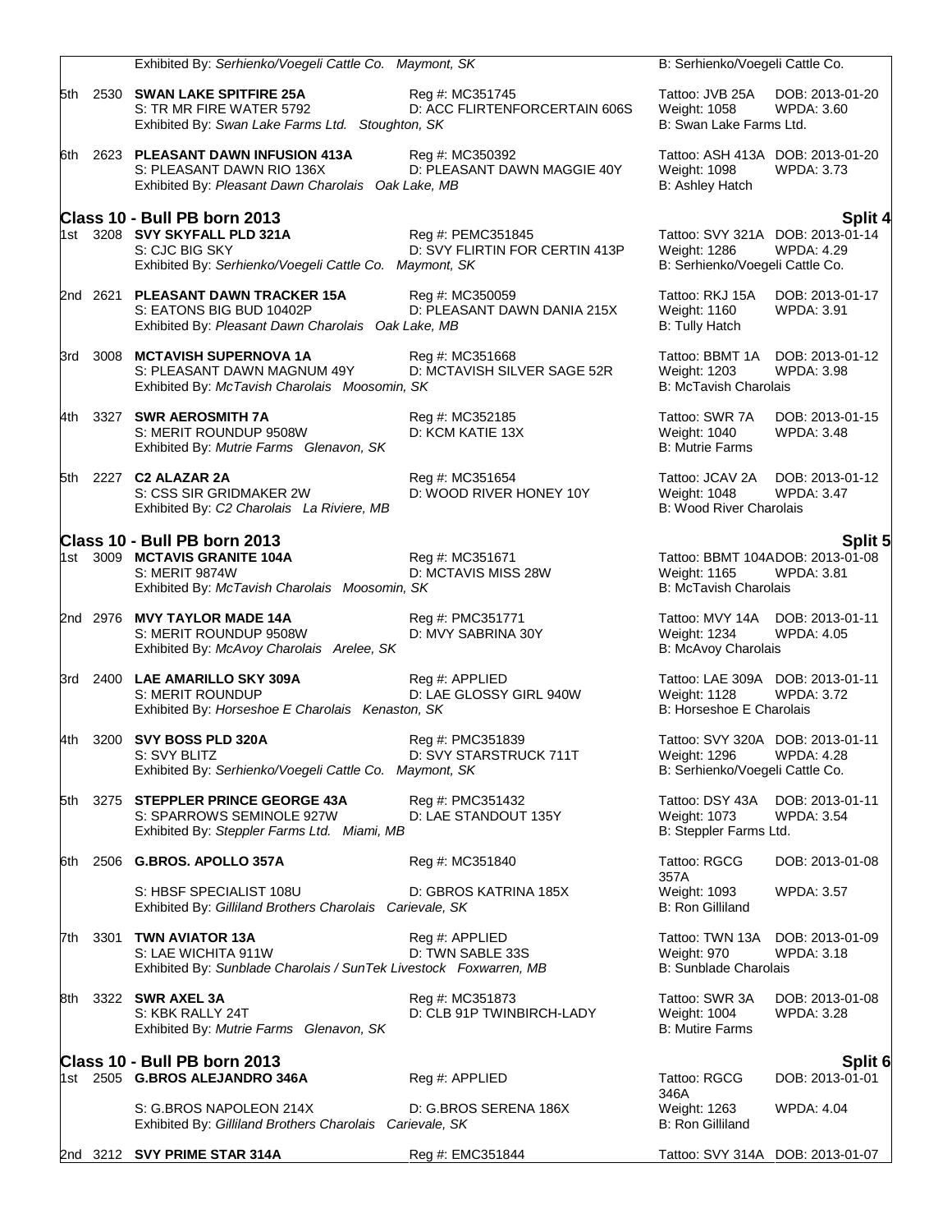|       | Exhibited By: Serhienko/Voegeli Cattle Co. Maymont, SK                                                                                    |                                                     | B: Serhienko/Voegeli Cattle Co.                                          |                                                                  |
|-------|-------------------------------------------------------------------------------------------------------------------------------------------|-----------------------------------------------------|--------------------------------------------------------------------------|------------------------------------------------------------------|
|       | 5th 2530 SWAN LAKE SPITFIRE 25A<br>S: TR MR FIRE WATER 5792<br>Exhibited By: Swan Lake Farms Ltd. Stoughton, SK                           | Reg #: MC351745<br>D: ACC FLIRTENFORCERTAIN 606S    | Tattoo: JVB 25A<br>Weight: 1058<br>B: Swan Lake Farms Ltd.               | DOB: 2013-01-20<br>WPDA: 3.60                                    |
|       | 6th 2623 PLEASANT DAWN INFUSION 413A<br>S: PLEASANT DAWN RIO 136X<br>Exhibited By: Pleasant Dawn Charolais Oak Lake, MB                   | Reg #: MC350392<br>D: PLEASANT DAWN MAGGIE 40Y      | Weight: 1098<br>B: Ashley Hatch                                          | Tattoo: ASH 413A DOB: 2013-01-20<br><b>WPDA: 3.73</b>            |
|       | Class 10 - Bull PB born 2013<br>1st 3208 SVY SKYFALL PLD 321A<br>S: CJC BIG SKY<br>Exhibited By: Serhienko/Voegeli Cattle Co. Maymont, SK | Reg #: PEMC351845<br>D: SVY FLIRTIN FOR CERTIN 413P | Weight: 1286<br>B: Serhienko/Voegeli Cattle Co.                          | Split 4<br>Tattoo: SVY 321A DOB: 2013-01-14<br><b>WPDA: 4.29</b> |
|       | 2nd 2621 PLEASANT DAWN TRACKER 15A<br>S: EATONS BIG BUD 10402P<br>Exhibited By: Pleasant Dawn Charolais Oak Lake, MB                      | Reg #: MC350059<br>D: PLEASANT DAWN DANIA 215X      | Tattoo: RKJ 15A<br>Weight: 1160<br><b>B: Tully Hatch</b>                 | DOB: 2013-01-17<br>WPDA: 3.91                                    |
|       | 3rd 3008 MCTAVISH SUPERNOVA 1A<br>S: PLEASANT DAWN MAGNUM 49Y<br>Exhibited By: McTavish Charolais Moosomin, SK                            | Reg #: MC351668<br>D: MCTAVISH SILVER SAGE 52R      | Tattoo: BBMT 1A<br>Weight: 1203<br><b>B: McTavish Charolais</b>          | DOB: 2013-01-12<br><b>WPDA: 3.98</b>                             |
|       | 4th 3327 SWR AEROSMITH 7A<br>S: MERIT ROUNDUP 9508W<br>Exhibited By: Mutrie Farms Glenavon, SK                                            | Reg #: MC352185<br>D: KCM KATIE 13X                 | Tattoo: SWR 7A<br>Weight: 1040<br><b>B: Mutrie Farms</b>                 | DOB: 2013-01-15<br><b>WPDA: 3.48</b>                             |
|       | 5th 2227 C2 ALAZAR 2A<br>S: CSS SIR GRIDMAKER 2W<br>Exhibited By: C2 Charolais La Riviere, MB                                             | Reg #: MC351654<br>D: WOOD RIVER HONEY 10Y          | Tattoo: JCAV 2A<br><b>Weight: 1048</b><br><b>B: Wood River Charolais</b> | DOB: 2013-01-12<br><b>WPDA: 3.47</b>                             |
|       | Class 10 - Bull PB born 2013                                                                                                              |                                                     |                                                                          | Split 5                                                          |
|       | 1st 3009 MCTAVIS GRANITE 104A<br><b>S: MERIT 9874W</b><br>Exhibited By: McTavish Charolais Moosomin, SK                                   | Reg #: MC351671<br>D: MCTAVIS MISS 28W              | Weight: 1165<br><b>B: McTavish Charolais</b>                             | Tattoo: BBMT 104ADOB: 2013-01-08<br><b>WPDA: 3.81</b>            |
|       | 2nd 2976 MVY TAYLOR MADE 14A<br>S: MERIT ROUNDUP 9508W<br>Exhibited By: McAvoy Charolais Arelee, SK                                       | Reg #: PMC351771<br>D: MVY SABRINA 30Y              | Tattoo: MVY 14A DOB: 2013-01-11<br>Weight: 1234<br>B: McAvoy Charolais   | <b>WPDA: 4.05</b>                                                |
|       | 3rd 2400 LAE AMARILLO SKY 309A<br><b>S: MERIT ROUNDUP</b><br>Exhibited By: Horseshoe E Charolais Kenaston, SK                             | Reg #: APPLIED<br>D: LAE GLOSSY GIRL 940W           | Weight: 1128<br>B: Horseshoe E Charolais                                 | Tattoo: LAE 309A DOB: 2013-01-11<br><b>WPDA: 3.72</b>            |
| 4th l | 3200 SVY BOSS PLD 320A<br>S: SVY BLIIZ<br>Exhibited By: Serhienko/Voegeli Cattle Co. Maymont, SK                                          | Reg #: PMC351839<br>D: SVY STARSTRUCK 711T          | Weight: 1296<br>B: Serhienko/Voegeli Cattle Co.                          | Tattoo: SVY 320A DOB: 2013-01-11<br><b>WPDA: 4.28</b>            |
| 5th l | 3275 STEPPLER PRINCE GEORGE 43A<br>S: SPARROWS SEMINOLE 927W<br>Exhibited By: Steppler Farms Ltd. Miami, MB                               | Reg #: PMC351432<br>D: LAE STANDOUT 135Y            | Tattoo: DSY 43A<br>Weight: 1073<br>B: Steppler Farms Ltd.                | DOB: 2013-01-11<br><b>WPDA: 3.54</b>                             |
| 6th   | 2506 G.BROS. APOLLO 357A                                                                                                                  | Reg #: MC351840                                     | Tattoo: RGCG                                                             | DOB: 2013-01-08                                                  |
|       | S: HBSF SPECIALIST 108U<br>Exhibited By: Gilliland Brothers Charolais Carievale, SK                                                       | D: GBROS KATRINA 185X                               | 357A<br>Weight: 1093<br><b>B: Ron Gilliland</b>                          | <b>WPDA: 3.57</b>                                                |
|       | 7th 3301 TWN AVIATOR 13A<br>S: LAE WICHITA 911W<br>Exhibited By: Sunblade Charolais / SunTek Livestock Foxwarren, MB                      | Reg #: APPLIED<br>D: TWN SABLE 33S                  | Tattoo: TWN 13A<br>Weight: 970<br><b>B: Sunblade Charolais</b>           | DOB: 2013-01-09<br><b>WPDA: 3.18</b>                             |
| 8th   | 3322 SWR AXEL 3A<br>S: KBK RALLY 24T<br>Exhibited By: Mutrie Farms Glenavon, SK                                                           | Reg #: MC351873<br>D: CLB 91P TWINBIRCH-LADY        | Tattoo: SWR 3A<br>Weight: 1004<br><b>B: Mutire Farms</b>                 | DOB: 2013-01-08<br>WPDA: 3.28                                    |
|       | Class 10 - Bull PB born 2013                                                                                                              |                                                     |                                                                          | Split 6                                                          |
|       | 1st 2505 G.BROS ALEJANDRO 346A                                                                                                            | Reg #: APPLIED                                      | Tattoo: RGCG<br>346A                                                     | DOB: 2013-01-01                                                  |
|       | S: G.BROS NAPOLEON 214X<br>Exhibited By: Gilliland Brothers Charolais Carievale, SK                                                       | D: G.BROS SERENA 186X                               | Weight: 1263<br><b>B: Ron Gilliland</b>                                  | <b>WPDA: 4.04</b>                                                |
|       | 2nd 3212 SVY PRIME STAR 314A                                                                                                              | Reg #: EMC351844                                    |                                                                          | Tattoo: SVY 314A DOB: 2013-01-07                                 |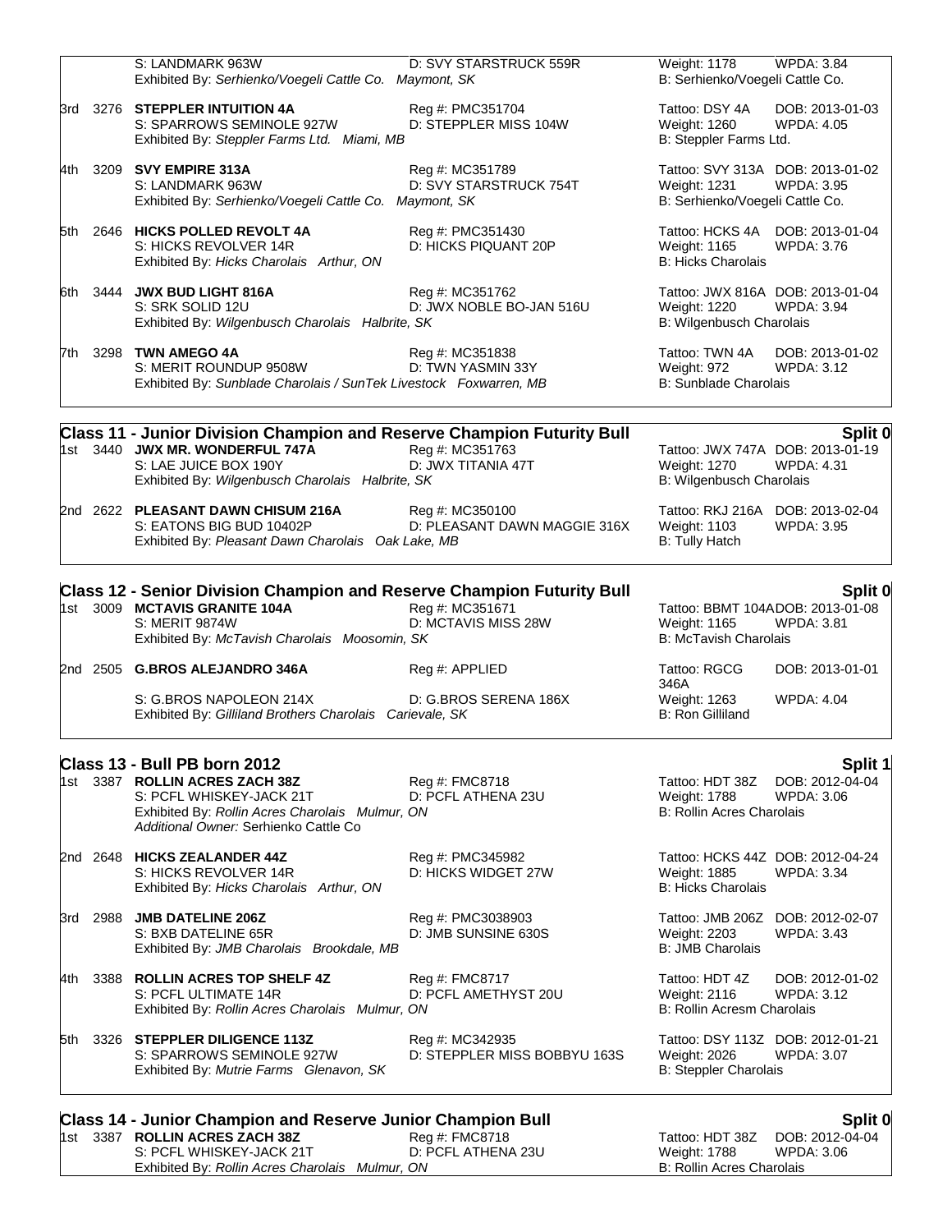|       |          | <b>Class 14 - Junior Champion and Reserve Junior Champion Bull</b>                                                                                                                     |                                                 |                                                                                  | Split 0                                                          |
|-------|----------|----------------------------------------------------------------------------------------------------------------------------------------------------------------------------------------|-------------------------------------------------|----------------------------------------------------------------------------------|------------------------------------------------------------------|
| 5th   |          | 3326 STEPPLER DILIGENCE 113Z<br>S: SPARROWS SEMINOLE 927W<br>Exhibited By: Mutrie Farms Glenavon, SK                                                                                   | Reg #: MC342935<br>D: STEPPLER MISS BOBBYU 163S | Tattoo: DSY 113Z DOB: 2012-01-21<br>Weight: 2026<br><b>B: Steppler Charolais</b> | <b>WPDA: 3.07</b>                                                |
| 4th   |          | 3388 ROLLIN ACRES TOP SHELF 4Z<br>S: PCFL ULTIMATE 14R<br>Exhibited By: Rollin Acres Charolais Mulmur, ON                                                                              | Reg #: FMC8717<br>D: PCFL AMETHYST 20U          | Tattoo: HDT 4Z<br>Weight: 2116<br>B: Rollin Acresm Charolais                     | DOB: 2012-01-02<br><b>WPDA: 3.12</b>                             |
| 3rd   | 2988     | <b>JMB DATELINE 206Z</b><br>S: BXB DATELINE 65R<br>Exhibited By: JMB Charolais Brookdale, MB                                                                                           | Reg #: PMC3038903<br>D: JMB SUNSINE 630S        | Weight: 2203<br><b>B: JMB Charolais</b>                                          | Tattoo: JMB 206Z DOB: 2012-02-07<br><b>WPDA: 3.43</b>            |
|       | 2nd 2648 | <b>HICKS ZEALANDER 44Z</b><br>S: HICKS REVOLVER 14R<br>Exhibited By: Hicks Charolais Arthur, ON                                                                                        | Reg #: PMC345982<br>D: HICKS WIDGET 27W         | Weight: 1885<br><b>B: Hicks Charolais</b>                                        | Tattoo: HCKS 44Z DOB: 2012-04-24<br><b>WPDA: 3.34</b>            |
|       |          | Class 13 - Bull PB born 2012<br>1st 3387 ROLLIN ACRES ZACH 38Z<br>S: PCFL WHISKEY-JACK 21T<br>Exhibited By: Rollin Acres Charolais Mulmur, ON<br>Additional Owner: Serhienko Cattle Co | Reg #: FMC8718<br>D: PCFL ATHENA 23U            | Tattoo: HDT 38Z<br><b>Weight: 1788</b><br><b>B: Rollin Acres Charolais</b>       | Split 1<br>DOB: 2012-04-04<br>WPDA: 3.06                         |
|       |          | S: G.BROS NAPOLEON 214X<br>Exhibited By: Gilliland Brothers Charolais Carievale, SK                                                                                                    | D: G.BROS SERENA 186X                           | Weight: 1263<br><b>B: Ron Gilliland</b>                                          | <b>WPDA: 4.04</b>                                                |
|       |          | 2nd 2505 G.BROS ALEJANDRO 346A                                                                                                                                                         | Reg #: APPLIED                                  | Tattoo: RGCG<br>346A                                                             | DOB: 2013-01-01                                                  |
| 1st l |          | <b>Class 12 - Senior Division Champion and Reserve Champion Futurity Bull</b><br>3009 MCTAVIS GRANITE 104A<br><b>S: MERIT 9874W</b><br>Exhibited By: McTavish Charolais Moosomin, SK   | Reg #: MC351671<br>D: MCTAVIS MISS 28W          | Weight: 1165<br><b>B: McTavish Charolais</b>                                     | Split 0<br>Tattoo: BBMT 104ADOB: 2013-01-08<br><b>WPDA: 3.81</b> |
|       |          | 2nd 2622 PLEASANT DAWN CHISUM 216A<br>S: EATONS BIG BUD 10402P<br>Exhibited By: Pleasant Dawn Charolais Oak Lake, MB                                                                   | Reg #: MC350100<br>D: PLEASANT DAWN MAGGIE 316X | <b>Weight: 1103</b><br><b>B: Tully Hatch</b>                                     | Tattoo: RKJ 216A DOB: 2013-02-04<br><b>WPDA: 3.95</b>            |
|       |          | Class 11 - Junior Division Champion and Reserve Champion Futurity Bull<br>1st 3440 JWX MR. WONDERFUL 747A<br>S: LAE JUICE BOX 190Y<br>Exhibited By: Wilgenbusch Charolais Halbrite, SK | Reg #: MC351763<br>D: JWX TITANIA 47T           | <b>Weight: 1270</b><br>B: Wilgenbusch Charolais                                  | Split 0<br>Tattoo: JWX 747A DOB: 2013-01-19<br><b>WPDA: 4.31</b> |
| 7th.  |          | 3298 TWN AMEGO 4A<br>S: MERIT ROUNDUP 9508W<br>Exhibited By: Sunblade Charolais / SunTek Livestock Foxwarren, MB                                                                       | Reg #: MC351838<br>D: TWN YASMIN 33Y            | Tattoo: TWN 4A<br>Weight: 972<br><b>B:</b> Sunblade Charolais                    | DOB: 2013-01-02<br><b>WPDA: 3.12</b>                             |
| 6th.  |          | 3444 JWX BUD LIGHT 816A<br>S: SRK SOLID 12U<br>Exhibited By: Wilgenbusch Charolais Halbrite, SK                                                                                        | Reg #: MC351762<br>D: JWX NOBLE BO-JAN 516U     | Weight: 1220<br>B: Wilgenbusch Charolais                                         | Tattoo: JWX 816A DOB: 2013-01-04<br>WPDA: 3.94                   |
|       |          | 5th 2646 HICKS POLLED REVOLT 4A<br>S: HICKS REVOLVER 14R<br>Exhibited By: Hicks Charolais Arthur, ON                                                                                   | Reg #: PMC351430<br>D: HICKS PIQUANT 20P        | Tattoo: HCKS 4A<br>Weight: 1165<br><b>B: Hicks Charolais</b>                     | DOB: 2013-01-04<br>WPDA: 3.76                                    |
| 4th l |          | 3209 SVY EMPIRE 313A<br>S: LANDMARK 963W<br>Exhibited By: Serhienko/Voegeli Cattle Co. Maymont, SK                                                                                     | Reg #: MC351789<br>D: SVY STARSTRUCK 754T       | Weight: 1231<br>B: Serhienko/Voegeli Cattle Co.                                  | Tattoo: SVY 313A DOB: 2013-01-02<br><b>WPDA: 3.95</b>            |
| 3rd   |          | 3276 STEPPLER INTUITION 4A<br>S: SPARROWS SEMINOLE 927W<br>Exhibited By: Steppler Farms Ltd. Miami, MB                                                                                 | Reg #: PMC351704<br>D: STEPPLER MISS 104W       | Tattoo: DSY 4A<br>Weight: 1260<br>B: Steppler Farms Ltd.                         | DOB: 2013-01-03<br><b>WPDA: 4.05</b>                             |
|       |          | S: LANDMARK 963W<br>Exhibited By: Serhienko/Voegeli Cattle Co. Maymont, SK                                                                                                             | D: SVY STARSTRUCK 559R                          | <b>Weight: 1178</b><br>B: Serhienko/Voegeli Cattle Co.                           | <b>WPDA: 3.84</b>                                                |

1st 3387 **ROLLIN ACRES ZACH 38Z** Reg #: FMC8718 Tattoo: HDT 38Z DOB: 2012-04-04 S: PCFL WHISKEY-JACK 21T D: PCFL ATHENA 23U Weight: 1788 WPDA: 3.06 Exhibited By: *Rollin Acres Charolais Mulmur, ON* B: Rollin Acres Charolais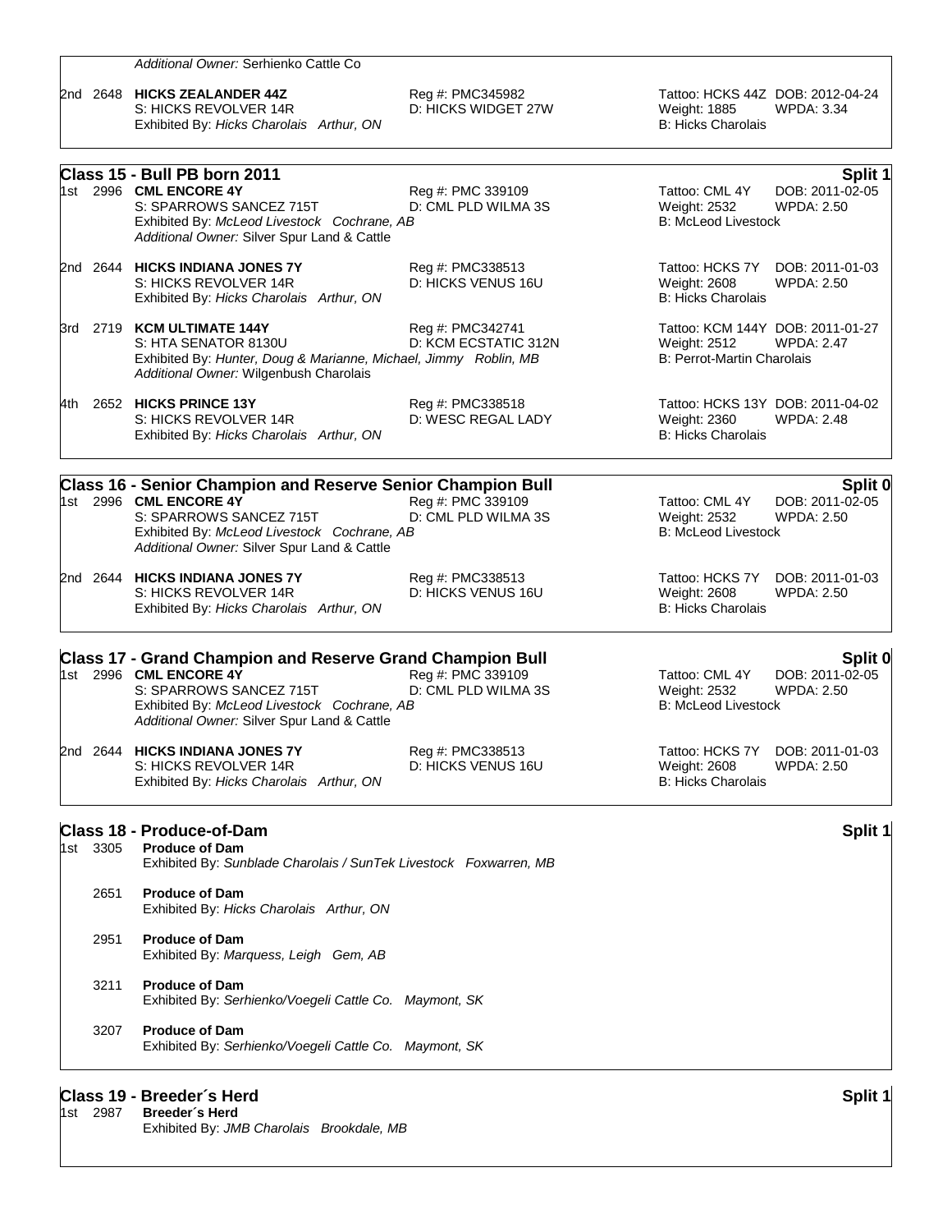|       | 1st 2987 | Class 19 - Breeder's Herd<br>Breeder's Herd                                                                                                                                                                           |                                          |                                                                                      | Split 1                                         |
|-------|----------|-----------------------------------------------------------------------------------------------------------------------------------------------------------------------------------------------------------------------|------------------------------------------|--------------------------------------------------------------------------------------|-------------------------------------------------|
|       | 3207     | <b>Produce of Dam</b><br>Exhibited By: Serhienko/Voegeli Cattle Co. Maymont, SK                                                                                                                                       |                                          |                                                                                      |                                                 |
|       | 3211     | <b>Produce of Dam</b><br>Exhibited By: Serhienko/Voegeli Cattle Co. Maymont, SK                                                                                                                                       |                                          |                                                                                      |                                                 |
|       | 2951     | <b>Produce of Dam</b><br>Exhibited By: Marquess, Leigh Gem, AB                                                                                                                                                        |                                          |                                                                                      |                                                 |
|       | 2651     | <b>Produce of Dam</b><br>Exhibited By: Hicks Charolais Arthur, ON                                                                                                                                                     |                                          |                                                                                      |                                                 |
|       | 1st 3305 | <b>Class 18 - Produce-of-Dam</b><br><b>Produce of Dam</b><br>Exhibited By: Sunblade Charolais / SunTek Livestock Foxwarren, MB                                                                                        |                                          |                                                                                      | Split 1                                         |
|       |          | 2nd 2644 HICKS INDIANA JONES 7Y<br>S: HICKS REVOLVER 14R<br>Exhibited By: Hicks Charolais Arthur, ON                                                                                                                  | Reg #: PMC338513<br>D: HICKS VENUS 16U   | Tattoo: HCKS 7Y<br>Weight: 2608<br><b>B: Hicks Charolais</b>                         | DOB: 2011-01-03<br><b>WPDA: 2.50</b>            |
|       |          | <b>Class 17 - Grand Champion and Reserve Grand Champion Bull</b><br>1st 2996 CML ENCORE 4Y<br>S: SPARROWS SANCEZ 715T<br>Exhibited By: McLeod Livestock Cochrane, AB<br>Additional Owner: Silver Spur Land & Cattle   | Reg #: PMC 339109<br>D: CML PLD WILMA 3S | Tattoo: CML 4Y<br>Weight: 2532<br><b>B: McLeod Livestock</b>                         | Split 0<br>DOB: 2011-02-05<br><b>WPDA: 2.50</b> |
|       |          | 2nd 2644 HICKS INDIANA JONES 7Y<br>S: HICKS REVOLVER 14R<br>Exhibited By: Hicks Charolais Arthur, ON                                                                                                                  | Reg #: PMC338513<br>D: HICKS VENUS 16U   | Tattoo: HCKS 7Y<br>Weight: 2608<br><b>B: Hicks Charolais</b>                         | DOB: 2011-01-03<br><b>WPDA: 2.50</b>            |
|       |          | <b>Class 16 - Senior Champion and Reserve Senior Champion Bull</b><br>1st 2996 CML ENCORE 4Y<br>S: SPARROWS SANCEZ 715T<br>Exhibited By: McLeod Livestock Cochrane, AB<br>Additional Owner: Silver Spur Land & Cattle | Reg #: PMC 339109<br>D: CML PLD WILMA 3S | Tattoo: CML 4Y<br>Weight: 2532<br><b>B: McLeod Livestock</b>                         | Split 0<br>DOB: 2011-02-05<br><b>WPDA: 2.50</b> |
| 4th l |          | 2652 HICKS PRINCE 13Y<br>S: HICKS REVOLVER 14R<br>Exhibited By: Hicks Charolais Arthur, ON                                                                                                                            | Reg #: PMC338518<br>D: WESC REGAL LADY   | Tattoo: HCKS 13Y DOB: 2011-04-02<br>Weight: 2360<br><b>B: Hicks Charolais</b>        | <b>WPDA: 2.48</b>                               |
|       |          | 3rd 2719 KCM ULTIMATE 144Y<br>S: HTA SENATOR 8130U<br>Exhibited By: Hunter, Doug & Marianne, Michael, Jimmy Roblin, MB<br>Additional Owner: Wilgenbush Charolais                                                      | Reg #: PMC342741<br>D: KCM ECSTATIC 312N | Tattoo: KCM 144Y DOB: 2011-01-27<br>Weight: 2512<br>B: Perrot-Martin Charolais       | <b>WPDA: 2.47</b>                               |
|       |          | 2nd 2644 HICKS INDIANA JONES 7Y<br>S: HICKS REVOLVER 14R<br>Exhibited By: Hicks Charolais Arthur, ON                                                                                                                  | Reg #: PMC338513<br>D: HICKS VENUS 16U   | Tattoo: HCKS 7Y<br>Weight: 2608<br><b>B: Hicks Charolais</b>                         | DOB: 2011-01-03<br><b>WPDA: 2.50</b>            |
|       |          | Class 15 - Bull PB born 2011<br>1st 2996 CML ENCORE 4Y<br>S: SPARROWS SANCEZ 715T<br>Exhibited By: McLeod Livestock Cochrane, AB<br>Additional Owner: Silver Spur Land & Cattle                                       | Reg #: PMC 339109<br>D: CML PLD WILMA 3S | Tattoo: CML 4Y<br>Weight: 2532<br><b>B: McLeod Livestock</b>                         | Split 1<br>DOB: 2011-02-05<br><b>WPDA: 2.50</b> |
|       |          | 2nd 2648 HICKS ZEALANDER 44Z<br>S: HICKS REVOLVER 14R<br>Exhibited By: Hicks Charolais Arthur, ON                                                                                                                     | Reg #: PMC345982<br>D: HICKS WIDGET 27W  | Tattoo: HCKS 44Z DOB: 2012-04-24<br><b>Weight: 1885</b><br><b>B: Hicks Charolais</b> | <b>WPDA: 3.34</b>                               |
|       |          | Additional Owner: Serhienko Cattle Co                                                                                                                                                                                 |                                          |                                                                                      |                                                 |

Exhibited By: *JMB Charolais Brookdale, MB*